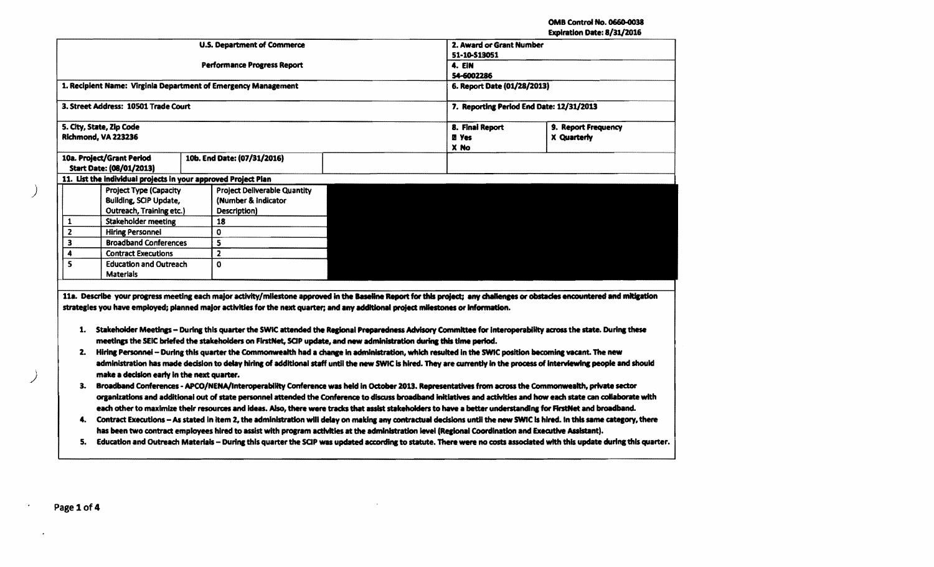OMB Control No. 0660-0038

|                         |                                                                |                                                                                                                                                                                                                                                                                                                                                                                                                                                                                                                                                                                                                                                                                                                                                                                                                                                                                                                                                                                                                                                                                                                                                                                                                                                                 |                                          |                     | Expiration Date: 8/31/2016 |  |
|-------------------------|----------------------------------------------------------------|-----------------------------------------------------------------------------------------------------------------------------------------------------------------------------------------------------------------------------------------------------------------------------------------------------------------------------------------------------------------------------------------------------------------------------------------------------------------------------------------------------------------------------------------------------------------------------------------------------------------------------------------------------------------------------------------------------------------------------------------------------------------------------------------------------------------------------------------------------------------------------------------------------------------------------------------------------------------------------------------------------------------------------------------------------------------------------------------------------------------------------------------------------------------------------------------------------------------------------------------------------------------|------------------------------------------|---------------------|----------------------------|--|
|                         |                                                                | <b>U.S. Department of Commerce</b>                                                                                                                                                                                                                                                                                                                                                                                                                                                                                                                                                                                                                                                                                                                                                                                                                                                                                                                                                                                                                                                                                                                                                                                                                              | 2. Award or Grant Number                 |                     |                            |  |
|                         |                                                                |                                                                                                                                                                                                                                                                                                                                                                                                                                                                                                                                                                                                                                                                                                                                                                                                                                                                                                                                                                                                                                                                                                                                                                                                                                                                 | 51-10-\$13051                            |                     |                            |  |
|                         |                                                                | <b>Performance Progress Report</b>                                                                                                                                                                                                                                                                                                                                                                                                                                                                                                                                                                                                                                                                                                                                                                                                                                                                                                                                                                                                                                                                                                                                                                                                                              | 4. EIN                                   |                     |                            |  |
|                         |                                                                |                                                                                                                                                                                                                                                                                                                                                                                                                                                                                                                                                                                                                                                                                                                                                                                                                                                                                                                                                                                                                                                                                                                                                                                                                                                                 | 54-6002286                               |                     |                            |  |
|                         |                                                                | 1. Recipient Name: Virginia Department of Emergency Management                                                                                                                                                                                                                                                                                                                                                                                                                                                                                                                                                                                                                                                                                                                                                                                                                                                                                                                                                                                                                                                                                                                                                                                                  | 6. Report Date (01/28/2013)              |                     |                            |  |
|                         | 3. Street Address: 10501 Trade Court                           |                                                                                                                                                                                                                                                                                                                                                                                                                                                                                                                                                                                                                                                                                                                                                                                                                                                                                                                                                                                                                                                                                                                                                                                                                                                                 | 7. Reporting Period End Date: 12/31/2013 |                     |                            |  |
|                         | 5. City, State, Zip Code                                       |                                                                                                                                                                                                                                                                                                                                                                                                                                                                                                                                                                                                                                                                                                                                                                                                                                                                                                                                                                                                                                                                                                                                                                                                                                                                 | 8. Finai Report                          | 9. Report Frequency |                            |  |
|                         | Richmond, VA 223236                                            |                                                                                                                                                                                                                                                                                                                                                                                                                                                                                                                                                                                                                                                                                                                                                                                                                                                                                                                                                                                                                                                                                                                                                                                                                                                                 | <b><i>D</i></b> Yes<br>X No              | X Quarterly         |                            |  |
|                         | 10a. Project/Grant Period                                      | 10b. End Date: (07/31/2016)                                                                                                                                                                                                                                                                                                                                                                                                                                                                                                                                                                                                                                                                                                                                                                                                                                                                                                                                                                                                                                                                                                                                                                                                                                     |                                          |                     |                            |  |
|                         | <b>Start Date: (08/01/2013)</b>                                |                                                                                                                                                                                                                                                                                                                                                                                                                                                                                                                                                                                                                                                                                                                                                                                                                                                                                                                                                                                                                                                                                                                                                                                                                                                                 |                                          |                     |                            |  |
|                         | 11. List the individual projects in your approved Project Plan |                                                                                                                                                                                                                                                                                                                                                                                                                                                                                                                                                                                                                                                                                                                                                                                                                                                                                                                                                                                                                                                                                                                                                                                                                                                                 |                                          |                     |                            |  |
|                         | <b>Project Type (Capacity</b>                                  | <b>Project Deliverable Quantity</b>                                                                                                                                                                                                                                                                                                                                                                                                                                                                                                                                                                                                                                                                                                                                                                                                                                                                                                                                                                                                                                                                                                                                                                                                                             |                                          |                     |                            |  |
|                         | <b>Building, SCIP Update,</b>                                  | (Number & Indicator)                                                                                                                                                                                                                                                                                                                                                                                                                                                                                                                                                                                                                                                                                                                                                                                                                                                                                                                                                                                                                                                                                                                                                                                                                                            |                                          |                     |                            |  |
|                         | <b>Outreach, Training etc.)</b>                                | Description)                                                                                                                                                                                                                                                                                                                                                                                                                                                                                                                                                                                                                                                                                                                                                                                                                                                                                                                                                                                                                                                                                                                                                                                                                                                    |                                          |                     |                            |  |
| 1                       | Stakeholder meeting                                            | 18                                                                                                                                                                                                                                                                                                                                                                                                                                                                                                                                                                                                                                                                                                                                                                                                                                                                                                                                                                                                                                                                                                                                                                                                                                                              |                                          |                     |                            |  |
| $\overline{\mathbf{2}}$ | <b>Hiring Personnel</b>                                        | 0                                                                                                                                                                                                                                                                                                                                                                                                                                                                                                                                                                                                                                                                                                                                                                                                                                                                                                                                                                                                                                                                                                                                                                                                                                                               |                                          |                     |                            |  |
| $\overline{\mathbf{3}}$ | <b>Broadband Conferences</b>                                   | 5                                                                                                                                                                                                                                                                                                                                                                                                                                                                                                                                                                                                                                                                                                                                                                                                                                                                                                                                                                                                                                                                                                                                                                                                                                                               |                                          |                     |                            |  |
| 4                       | <b>Contract Executions</b>                                     | $\overline{\mathbf{z}}$                                                                                                                                                                                                                                                                                                                                                                                                                                                                                                                                                                                                                                                                                                                                                                                                                                                                                                                                                                                                                                                                                                                                                                                                                                         |                                          |                     |                            |  |
| 5                       | <b>Education and Outreach</b>                                  | O                                                                                                                                                                                                                                                                                                                                                                                                                                                                                                                                                                                                                                                                                                                                                                                                                                                                                                                                                                                                                                                                                                                                                                                                                                                               |                                          |                     |                            |  |
|                         | <b>Materials</b>                                               |                                                                                                                                                                                                                                                                                                                                                                                                                                                                                                                                                                                                                                                                                                                                                                                                                                                                                                                                                                                                                                                                                                                                                                                                                                                                 |                                          |                     |                            |  |
|                         |                                                                | 11a. Describe your progress meeting each major activity/milestone approved in the Baseline Report for this project; any challenges or obstacles encountered and mitigation                                                                                                                                                                                                                                                                                                                                                                                                                                                                                                                                                                                                                                                                                                                                                                                                                                                                                                                                                                                                                                                                                      |                                          |                     |                            |  |
| 2.<br>3.                | make a decision early in the next quarter.                     | strategies you have employed; planned major activities for the next quarter; and any additional project milestones or information.<br>1. Stakeholder Meetings - During this quarter the SWIC attended the Regional Preparedness Advisory Committee for interoperability across the state. During these<br>meetings the SEIC briefed the stakeholders on FirstNet, SCIP update, and new administration during this time period.<br>Hiring Personnei - During this quarter the Commonwealth had a change in administration, which resulted in the SWIC position becoming vacant. The new<br>administration has made decision to delay hiring of additional staff until the new SWIC is hired. They are currently in the process of interviewing people and should<br>Broadband Conferences - APCO/NENA/Interoperability Conference was held in October 2013. Representatives from across the Commonwealth, private sector<br>organizations and additional out of state personnel attended the Conference to discuss broadband initiatives and activities and how each state can collaborate with<br>each other to maximize their resources and ideas. Also, there were tracks that assist stakeholders to have a better understanding for FirstNet and broadband. |                                          |                     |                            |  |

 $\sim$ 

Page 1 of 4

 $\bullet$ 

 $\sim$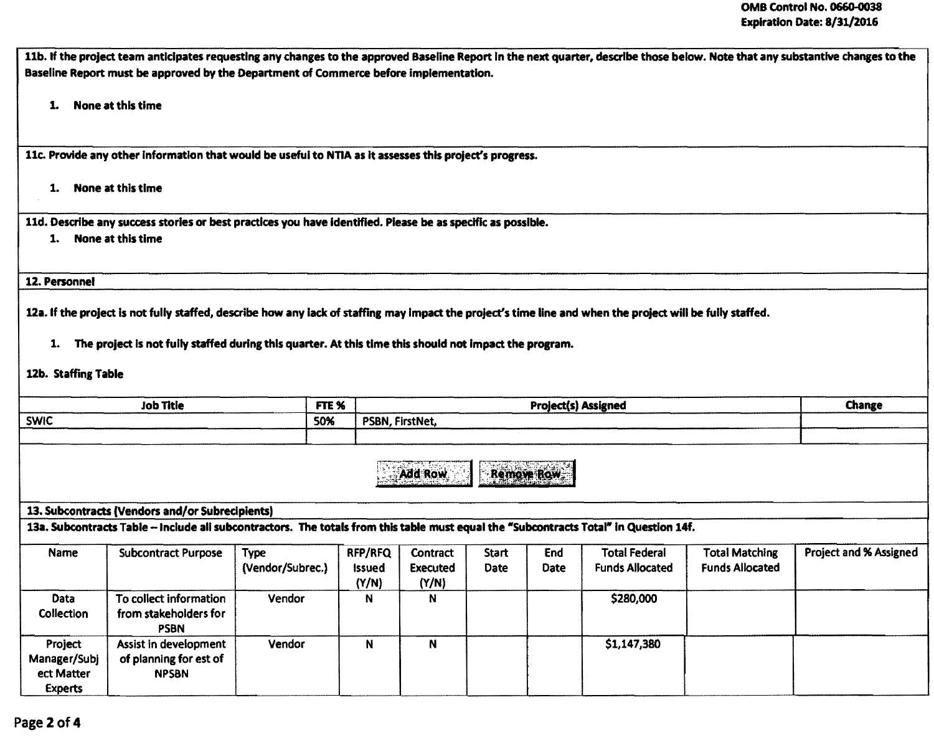11b. If the project team anticipates requesting any changes to the approved Baseline Report in the next quarter, describe those below. Note that any substantive changes to the Baseline Report must be approved by the Department of Commerce before implementation. 1. None at this time llc. Provide any other Information that would be useful to NnA as It assesses this project's prosress. 1. None at this time lld. Describe any success stories or best practices you have Identified. Please be as specific as possible. 1. None at this time 12. Personnel 12a. If the proiect is not fully staffed, describe how any lack of staffing may impact the project's time line and when the project will be fully staffed. 1. The project Is not fully staffed during this quarter. At this time this should not Impact the prosram. 12b. Staffing Table Job Title **FILE REAL CHANGE CHANGE CHANGE CHANGE CHANGE CHANGE CHANGE CHANGE CHANGE CHANGE** SWIC SWIC PSBN, FirstNet, Add Row | Remove Row 13. Subcontracts (Vendors and/or Subredplents) 13a. Subcontracts Table - Include all subcontractors. The totals from this table must equal the "Subcontracts Total" in Question 14f. Name | Subcontract Purpose | Type (Vendor/Subrec.) RFP/RFQ Issued (Y/N) **Contract** Executed (y/N) **Start** Date End Date Total Federal Funds Allocated Total Matching Funds Allocated Project and % Assigned Data Collection To collect information from stakeholders for PSBN Vendor | N | N | | | | | | \$280,000 Project Manager/SUbj ect Matter Experts Assist in development of planning for est of NPSBN Vendor N N N N N S1,147,380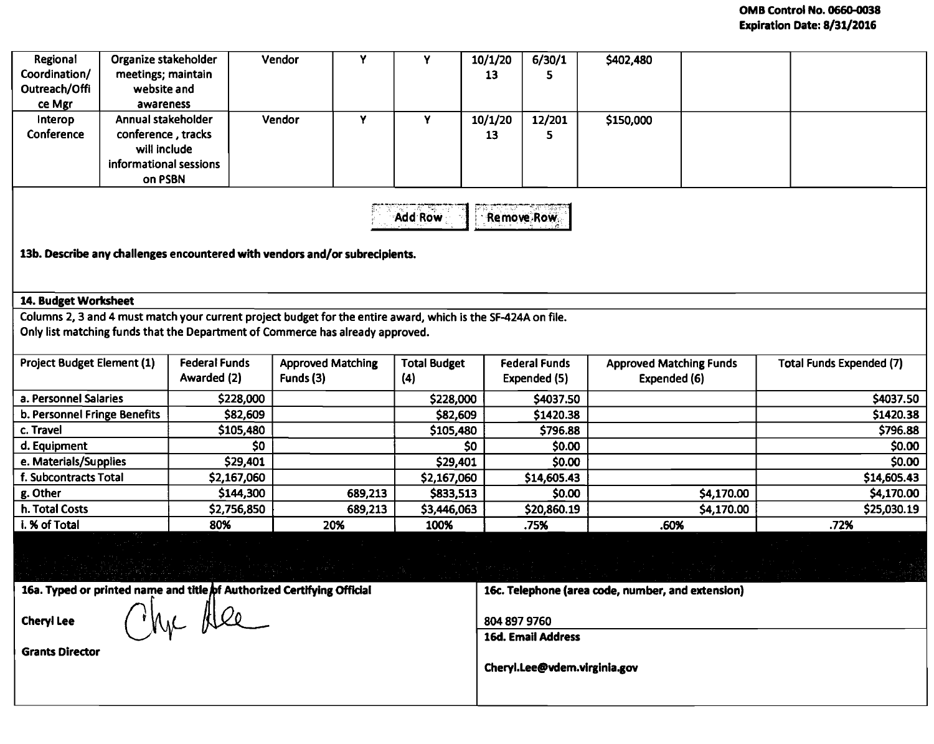## OMB Control No. 0660-0038 Expiration Date: 8/31/2016

| Regional<br>Coordination/<br>Outreach/Offi<br>ce Mgr                                                                                                                                            | Organize stakeholder<br>meetings; maintain<br>website and<br>awareness                                             |                                     | Y<br>Vendor                           | Y                          | 10/1/20<br>13                        | 6/30/1<br>5.                                      | \$402,480                                      |            |                                 |  |  |  |  |  |  |
|-------------------------------------------------------------------------------------------------------------------------------------------------------------------------------------------------|--------------------------------------------------------------------------------------------------------------------|-------------------------------------|---------------------------------------|----------------------------|--------------------------------------|---------------------------------------------------|------------------------------------------------|------------|---------------------------------|--|--|--|--|--|--|
| Interop<br>Conference                                                                                                                                                                           | Annual stakeholder<br>conference, tracks<br>will include<br>informational sessions<br>on PSBN                      |                                     | Vendor<br>Y                           | Y.                         | 10/1/20<br>13                        | 12/201<br>5                                       | \$150,000                                      |            |                                 |  |  |  |  |  |  |
|                                                                                                                                                                                                 | <b>Add Row</b><br><b>Remove Row</b><br>13b. Describe any challenges encountered with vendors and/or subrecipients. |                                     |                                       |                            |                                      |                                                   |                                                |            |                                 |  |  |  |  |  |  |
| 14. Budget Worksheet                                                                                                                                                                            |                                                                                                                    |                                     |                                       |                            |                                      |                                                   |                                                |            |                                 |  |  |  |  |  |  |
| Columns 2, 3 and 4 must match your current project budget for the entire award, which is the SF-424A on file.<br>Only list matching funds that the Department of Commerce has already approved. |                                                                                                                    |                                     |                                       |                            |                                      |                                                   |                                                |            |                                 |  |  |  |  |  |  |
| <b>Project Budget Element (1)</b>                                                                                                                                                               |                                                                                                                    | <b>Federal Funds</b><br>Awarded (2) | <b>Approved Matching</b><br>Funds (3) | <b>Total Budget</b><br>(4) | <b>Federal Funds</b><br>Expended (5) |                                                   | <b>Approved Matching Funds</b><br>Expended (6) |            | <b>Total Funds Expended (7)</b> |  |  |  |  |  |  |
| a. Personnel Salaries                                                                                                                                                                           |                                                                                                                    | \$228,000                           |                                       | \$228,000                  | \$4037.50                            |                                                   |                                                |            | \$4037.50                       |  |  |  |  |  |  |
| b. Personnel Fringe Benefits                                                                                                                                                                    |                                                                                                                    | \$82,609                            |                                       | \$82,609                   |                                      | \$1420.38                                         |                                                |            | \$1420.38                       |  |  |  |  |  |  |
| c. Travel                                                                                                                                                                                       |                                                                                                                    | \$105,480                           |                                       | \$105,480                  |                                      | \$796.88                                          |                                                |            | \$796.88                        |  |  |  |  |  |  |
| d. Equipment                                                                                                                                                                                    |                                                                                                                    | \$0                                 |                                       | \$0                        |                                      | \$0.00                                            |                                                |            | \$0.00                          |  |  |  |  |  |  |
| e. Materials/Supplies                                                                                                                                                                           |                                                                                                                    | \$29,401                            |                                       | \$29,401                   |                                      | \$0.00                                            |                                                |            | \$0.00                          |  |  |  |  |  |  |
| f. Subcontracts Total                                                                                                                                                                           |                                                                                                                    | \$2,167,060                         |                                       | \$2,167,060                |                                      | \$14,605.43                                       |                                                |            | \$14,605.43                     |  |  |  |  |  |  |
| g. Other                                                                                                                                                                                        |                                                                                                                    | \$144,300                           | 689,213                               | \$833,513                  |                                      | \$0.00                                            |                                                | \$4,170.00 | \$4,170.00                      |  |  |  |  |  |  |
| h. Total Costs                                                                                                                                                                                  |                                                                                                                    | \$2,756,850                         | 689,213                               | \$3,446,063                |                                      | \$20,860.19                                       |                                                | \$4,170.00 | \$25,030.19                     |  |  |  |  |  |  |
| i. % of Total                                                                                                                                                                                   |                                                                                                                    | 80%                                 | 20%                                   | 100%                       |                                      | .75%                                              | .60%                                           |            | .72%                            |  |  |  |  |  |  |
|                                                                                                                                                                                                 |                                                                                                                    |                                     |                                       |                            |                                      |                                                   |                                                |            |                                 |  |  |  |  |  |  |
| 16a. Typed or printed name and title of Authorized Certifying Official<br>the Alee                                                                                                              |                                                                                                                    |                                     |                                       |                            |                                      | 16c. Telephone (area code, number, and extension) |                                                |            |                                 |  |  |  |  |  |  |
| <b>Cheryl Lee</b>                                                                                                                                                                               |                                                                                                                    |                                     |                                       |                            | 804 897 9760                         |                                                   |                                                |            |                                 |  |  |  |  |  |  |
|                                                                                                                                                                                                 |                                                                                                                    |                                     |                                       |                            | <b>16d. Email Address</b>            |                                                   |                                                |            |                                 |  |  |  |  |  |  |
| <b>Grants Director</b>                                                                                                                                                                          |                                                                                                                    |                                     |                                       |                            | Cheryl.Lee@vdem.virginia.gov         |                                                   |                                                |            |                                 |  |  |  |  |  |  |
|                                                                                                                                                                                                 |                                                                                                                    |                                     |                                       |                            |                                      |                                                   |                                                |            |                                 |  |  |  |  |  |  |